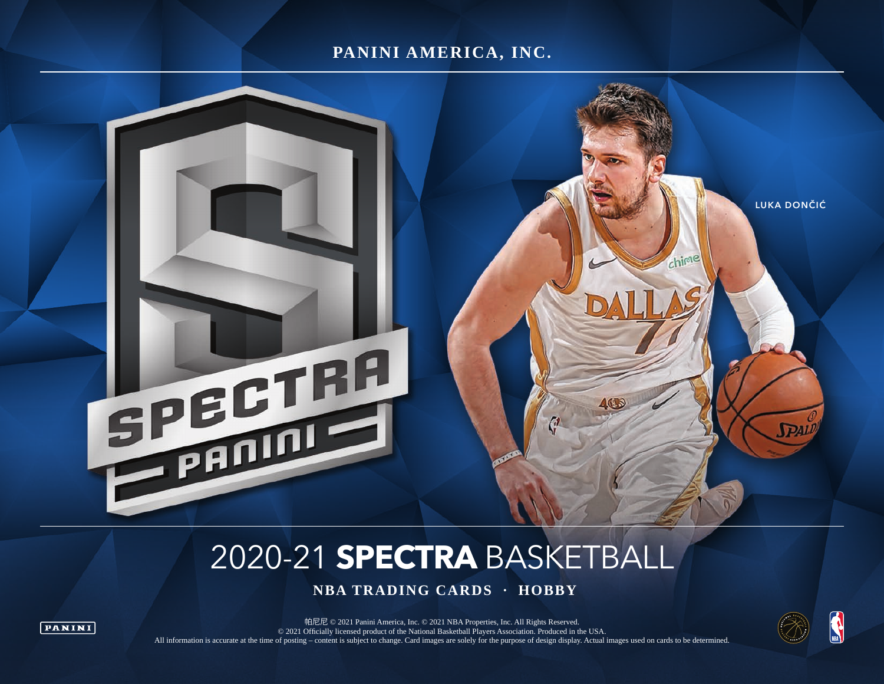## **PANINI AMERICA, INC.**



# 2020-21 **SPECTRA** BASKETBALL

 **NBA TRADING CARDS · HOBBY**



帕尼尼 © 2021 Panini America, Inc. © 2021 NBA Properties, Inc. All Rights Reserved. © 2021 Officially licensed product of the National Basketball Players Association. Produced in the USA. All information is accurate at the time of posting – content is subject to change. Card images are solely for the purpose of design display. Actual images used on cards to be determined.

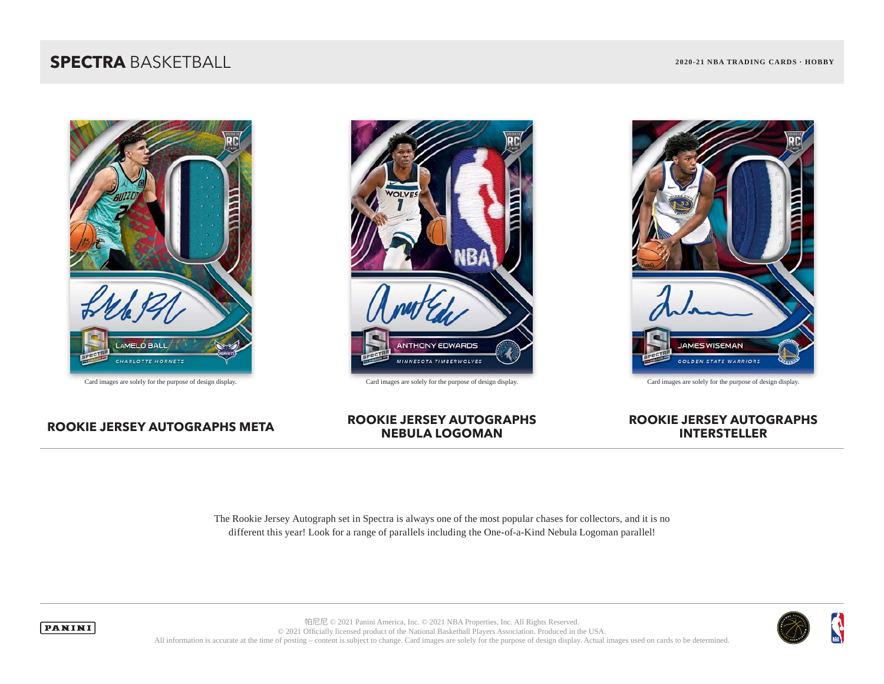# **SPECTRA** BASKETBALL **2020-21 NBA TRADING CARDS · HOBBY**





Card images are solely for the purpose of design display. Card images are solely for the purpose of design display. Card images are solely for the purpose of design display.



### **ROOKIE JERSEY AUTOGRAPHS META ROOKIE JERSEY AUTOGRAPHS NEBULA LOGOMAN**

## **ROOKIE JERSEY AUTOGRAPHS INTERSTELLER**

The Rookie Jersey Autograph set in Spectra is always one of the most popular chases for collectors, and it is no different this year! Look for a range of parallels including the One-of-a-Kind Nebula Logoman parallel!



**PANINI** 

帕尼尼 © 2021 Panini America, Inc. © 2021 NBA Properties, Inc. All Rights Reserved. © 2021 Officially licensed product of the National Basketball Players Association. Produced in the USA. All information is accurate at the time of posting – content is subject to change. Card images are solely for the purpose of design display. Actual images used on cards to be determined.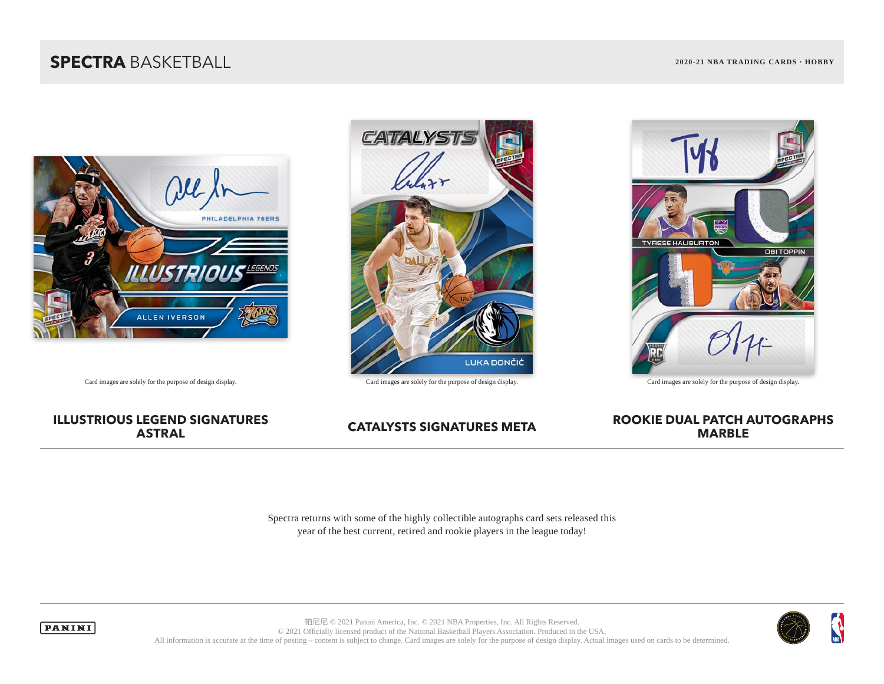# **SPECTRA** BASKETBALL **2020-21 NBA TRADING CARDS · HOBBY**



# **CATALYS LUKA DONČIĆ**



Card images are solely for the purpose of design display. Card images are solely for the purpose of design display. Card images are solely for the purpose of design display.

# **ILLUSTRIOUS LEGEND SIGNATURES**

## **CATALYSTS SIGNATURES META ROOKIE DUAL PATCH AUTOGRAPHS MARBLE**

Spectra returns with some of the highly collectible autographs card sets released this year of the best current, retired and rookie players in the league today!

帕尼尼 © 2021 Panini America, Inc. © 2021 NBA Properties, Inc. All Rights Reserved.



© 2021 Officially licensed product of the National Basketball Players Association. Produced in the USA. All information is accurate at the time of posting – content is subject to change. Card images are solely for the purpose of design display. Actual images used on cards to be determined.

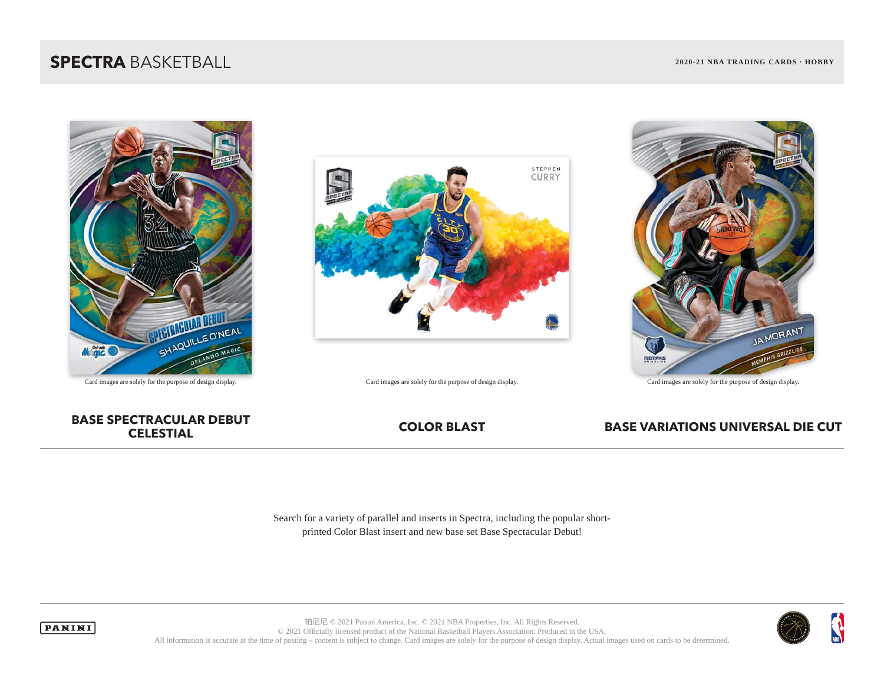# **SPECTRA** BASKETBALL **2020-21 NBA TRADING CARDS · HOBBY**





Card images are solely for the purpose of design display. Card images are solely for the purpose of design display. Card images are solely for the purpose of design display.



# **BASE SPECTRACULAR DEBUT**



## **COLOR BLAST BASE VARIATIONS UNIVERSAL DIE CUT**

Search for a variety of parallel and inserts in Spectra, including the popular shortprinted Color Blast insert and new base set Base Spectacular Debut!



帕尼尼 © 2021 Panini America, Inc. © 2021 NBA Properties, Inc. All Rights Reserved. © 2021 Officially licensed product of the National Basketball Players Association. Produced in the USA. All information is accurate at the time of posting – content is subject to change. Card images are solely for the purpose of design display. Actual images used on cards to be determined.

**PANINI**